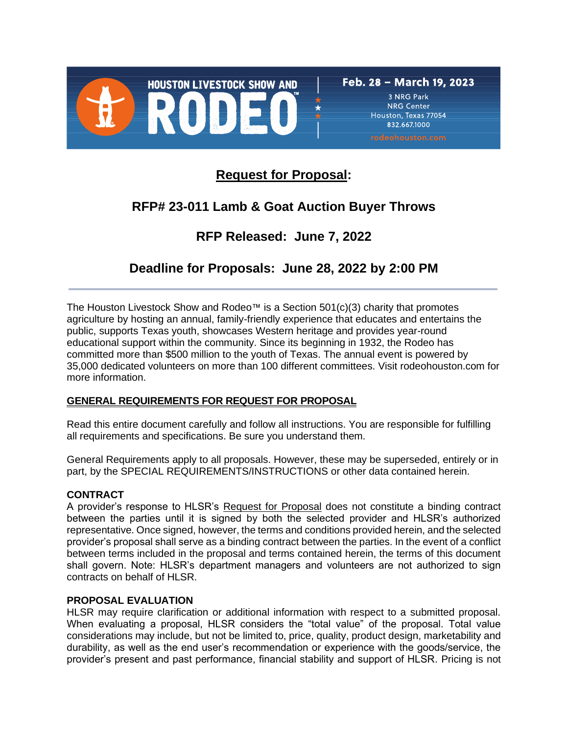

832,667,1000

# **Request for Proposal:**

# **RFP# 23-011 Lamb & Goat Auction Buyer Throws**

# **RFP Released: June 7, 2022**

## **Deadline for Proposals: June 28, 2022 by 2:00 PM**

The Houston Livestock Show and Rodeo™ is a Section  $501(c)(3)$  charity that promotes agriculture by hosting an annual, family-friendly experience that educates and entertains the public, supports Texas youth, showcases Western heritage and provides year-round educational support within the community. Since its beginning in 1932, the Rodeo has committed more than \$500 million to the youth of Texas. The annual event is powered by 35,000 dedicated volunteers on more than 100 different committees. Visit rodeohouston.com for more information.

## **GENERAL REQUIREMENTS FOR REQUEST FOR PROPOSAL**

Read this entire document carefully and follow all instructions. You are responsible for fulfilling all requirements and specifications. Be sure you understand them.

General Requirements apply to all proposals. However, these may be superseded, entirely or in part, by the SPECIAL REQUIREMENTS/INSTRUCTIONS or other data contained herein.

## **CONTRACT**

A provider's response to HLSR's Request for Proposal does not constitute a binding contract between the parties until it is signed by both the selected provider and HLSR's authorized representative. Once signed, however, the terms and conditions provided herein, and the selected provider's proposal shall serve as a binding contract between the parties. In the event of a conflict between terms included in the proposal and terms contained herein, the terms of this document shall govern. Note: HLSR's department managers and volunteers are not authorized to sign contracts on behalf of HLSR.

## **PROPOSAL EVALUATION**

HLSR may require clarification or additional information with respect to a submitted proposal. When evaluating a proposal, HLSR considers the "total value" of the proposal. Total value considerations may include, but not be limited to, price, quality, product design, marketability and durability, as well as the end user's recommendation or experience with the goods/service, the provider's present and past performance, financial stability and support of HLSR. Pricing is not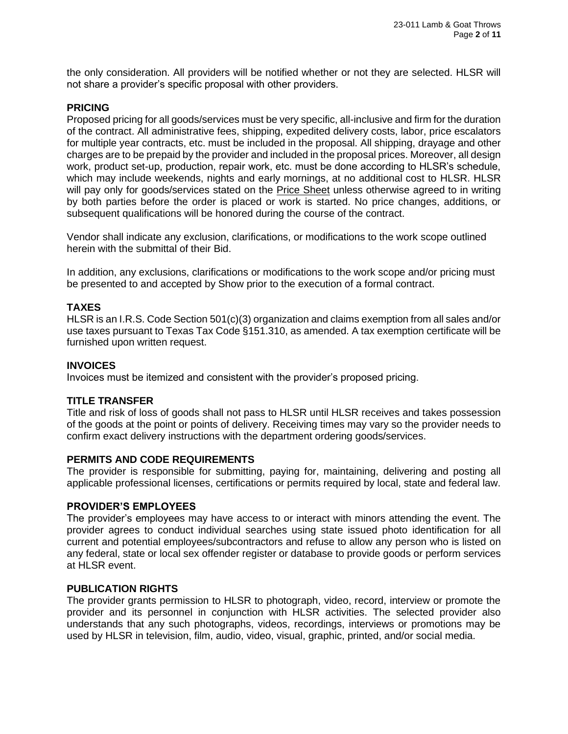the only consideration. All providers will be notified whether or not they are selected. HLSR will not share a provider's specific proposal with other providers.

## **PRICING**

Proposed pricing for all goods/services must be very specific, all-inclusive and firm for the duration of the contract. All administrative fees, shipping, expedited delivery costs, labor, price escalators for multiple year contracts, etc. must be included in the proposal. All shipping, drayage and other charges are to be prepaid by the provider and included in the proposal prices. Moreover, all design work, product set-up, production, repair work, etc. must be done according to HLSR's schedule, which may include weekends, nights and early mornings, at no additional cost to HLSR. HLSR will pay only for goods/services stated on the Price Sheet unless otherwise agreed to in writing by both parties before the order is placed or work is started. No price changes, additions, or subsequent qualifications will be honored during the course of the contract.

Vendor shall indicate any exclusion, clarifications, or modifications to the work scope outlined herein with the submittal of their Bid.

In addition, any exclusions, clarifications or modifications to the work scope and/or pricing must be presented to and accepted by Show prior to the execution of a formal contract.

#### **TAXES**

HLSR is an I.R.S. Code Section 501(c)(3) organization and claims exemption from all sales and/or use taxes pursuant to Texas Tax Code §151.310, as amended. A tax exemption certificate will be furnished upon written request.

#### **INVOICES**

Invoices must be itemized and consistent with the provider's proposed pricing.

## **TITLE TRANSFER**

Title and risk of loss of goods shall not pass to HLSR until HLSR receives and takes possession of the goods at the point or points of delivery. Receiving times may vary so the provider needs to confirm exact delivery instructions with the department ordering goods/services.

#### **PERMITS AND CODE REQUIREMENTS**

The provider is responsible for submitting, paying for, maintaining, delivering and posting all applicable professional licenses, certifications or permits required by local, state and federal law.

#### **PROVIDER'S EMPLOYEES**

The provider's employees may have access to or interact with minors attending the event. The provider agrees to conduct individual searches using state issued photo identification for all current and potential employees/subcontractors and refuse to allow any person who is listed on any federal, state or local sex offender register or database to provide goods or perform services at HLSR event.

#### **PUBLICATION RIGHTS**

The provider grants permission to HLSR to photograph, video, record, interview or promote the provider and its personnel in conjunction with HLSR activities. The selected provider also understands that any such photographs, videos, recordings, interviews or promotions may be used by HLSR in television, film, audio, video, visual, graphic, printed, and/or social media.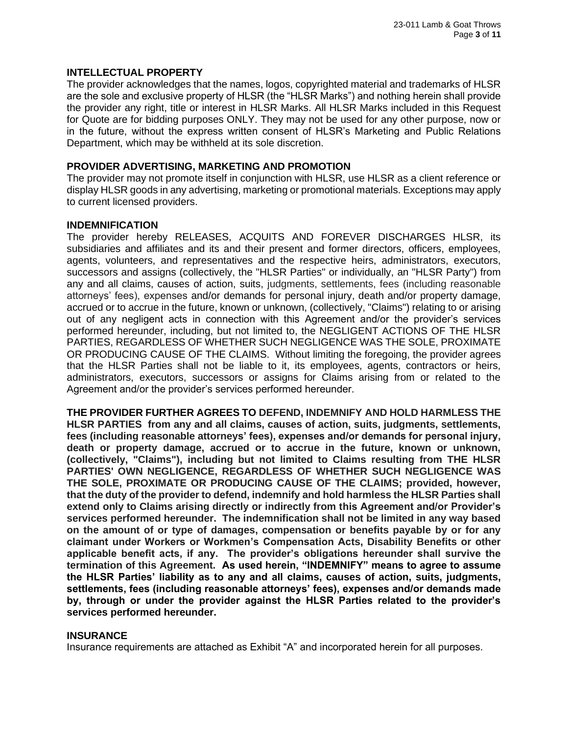#### **INTELLECTUAL PROPERTY**

The provider acknowledges that the names, logos, copyrighted material and trademarks of HLSR are the sole and exclusive property of HLSR (the "HLSR Marks") and nothing herein shall provide the provider any right, title or interest in HLSR Marks. All HLSR Marks included in this Request for Quote are for bidding purposes ONLY. They may not be used for any other purpose, now or in the future, without the express written consent of HLSR's Marketing and Public Relations Department, which may be withheld at its sole discretion.

#### **PROVIDER ADVERTISING, MARKETING AND PROMOTION**

The provider may not promote itself in conjunction with HLSR, use HLSR as a client reference or display HLSR goods in any advertising, marketing or promotional materials. Exceptions may apply to current licensed providers.

#### **INDEMNIFICATION**

The provider hereby RELEASES, ACQUITS AND FOREVER DISCHARGES HLSR, its subsidiaries and affiliates and its and their present and former directors, officers, employees, agents, volunteers, and representatives and the respective heirs, administrators, executors, successors and assigns (collectively, the "HLSR Parties" or individually, an "HLSR Party") from any and all claims, causes of action, suits, judgments, settlements, fees (including reasonable attorneys' fees), expenses and/or demands for personal injury, death and/or property damage, accrued or to accrue in the future, known or unknown, (collectively, "Claims") relating to or arising out of any negligent acts in connection with this Agreement and/or the provider's services performed hereunder, including, but not limited to, the NEGLIGENT ACTIONS OF THE HLSR PARTIES, REGARDLESS OF WHETHER SUCH NEGLIGENCE WAS THE SOLE, PROXIMATE OR PRODUCING CAUSE OF THE CLAIMS. Without limiting the foregoing, the provider agrees that the HLSR Parties shall not be liable to it, its employees, agents, contractors or heirs, administrators, executors, successors or assigns for Claims arising from or related to the Agreement and/or the provider's services performed hereunder.

**THE PROVIDER FURTHER AGREES TO DEFEND, INDEMNIFY AND HOLD HARMLESS THE HLSR PARTIES from any and all claims, causes of action, suits, judgments, settlements, fees (including reasonable attorneys' fees), expenses and/or demands for personal injury, death or property damage, accrued or to accrue in the future, known or unknown, (collectively, "Claims"), including but not limited to Claims resulting from THE HLSR PARTIES' OWN NEGLIGENCE, REGARDLESS OF WHETHER SUCH NEGLIGENCE WAS THE SOLE, PROXIMATE OR PRODUCING CAUSE OF THE CLAIMS; provided, however, that the duty of the provider to defend, indemnify and hold harmless the HLSR Parties shall extend only to Claims arising directly or indirectly from this Agreement and/or Provider's services performed hereunder. The indemnification shall not be limited in any way based on the amount of or type of damages, compensation or benefits payable by or for any claimant under Workers or Workmen's Compensation Acts, Disability Benefits or other applicable benefit acts, if any. The provider's obligations hereunder shall survive the termination of this Agreement. As used herein, "INDEMNIFY" means to agree to assume the HLSR Parties' liability as to any and all claims, causes of action, suits, judgments, settlements, fees (including reasonable attorneys' fees), expenses and/or demands made by, through or under the provider against the HLSR Parties related to the provider's services performed hereunder.**

#### **INSURANCE**

Insurance requirements are attached as Exhibit "A" and incorporated herein for all purposes.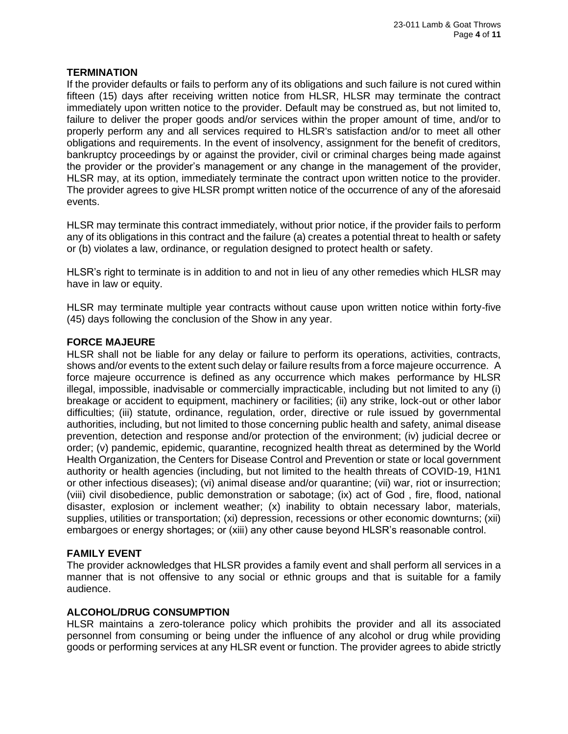## **TERMINATION**

If the provider defaults or fails to perform any of its obligations and such failure is not cured within fifteen (15) days after receiving written notice from HLSR, HLSR may terminate the contract immediately upon written notice to the provider. Default may be construed as, but not limited to, failure to deliver the proper goods and/or services within the proper amount of time, and/or to properly perform any and all services required to HLSR's satisfaction and/or to meet all other obligations and requirements. In the event of insolvency, assignment for the benefit of creditors, bankruptcy proceedings by or against the provider, civil or criminal charges being made against the provider or the provider's management or any change in the management of the provider, HLSR may, at its option, immediately terminate the contract upon written notice to the provider. The provider agrees to give HLSR prompt written notice of the occurrence of any of the aforesaid events.

HLSR may terminate this contract immediately, without prior notice, if the provider fails to perform any of its obligations in this contract and the failure (a) creates a potential threat to health or safety or (b) violates a law, ordinance, or regulation designed to protect health or safety.

HLSR's right to terminate is in addition to and not in lieu of any other remedies which HLSR may have in law or equity.

HLSR may terminate multiple year contracts without cause upon written notice within forty-five (45) days following the conclusion of the Show in any year.

#### **FORCE MAJEURE**

HLSR shall not be liable for any delay or failure to perform its operations, activities, contracts, shows and/or events to the extent such delay or failure results from a force majeure occurrence. A force majeure occurrence is defined as any occurrence which makes performance by HLSR illegal, impossible, inadvisable or commercially impracticable, including but not limited to any (i) breakage or accident to equipment, machinery or facilities; (ii) any strike, lock-out or other labor difficulties; (iii) statute, ordinance, regulation, order, directive or rule issued by governmental authorities, including, but not limited to those concerning public health and safety, animal disease prevention, detection and response and/or protection of the environment; (iv) judicial decree or order; (v) pandemic, epidemic, quarantine, recognized health threat as determined by the World Health Organization, the Centers for Disease Control and Prevention or state or local government authority or health agencies (including, but not limited to the health threats of COVID-19, H1N1 or other infectious diseases); (vi) animal disease and/or quarantine; (vii) war, riot or insurrection; (viii) civil disobedience, public demonstration or sabotage; (ix) act of God , fire, flood, national disaster, explosion or inclement weather; (x) inability to obtain necessary labor, materials, supplies, utilities or transportation; (xi) depression, recessions or other economic downturns; (xii) embargoes or energy shortages; or (xiii) any other cause beyond HLSR's reasonable control.

## **FAMILY EVENT**

The provider acknowledges that HLSR provides a family event and shall perform all services in a manner that is not offensive to any social or ethnic groups and that is suitable for a family audience.

#### **ALCOHOL/DRUG CONSUMPTION**

HLSR maintains a zero-tolerance policy which prohibits the provider and all its associated personnel from consuming or being under the influence of any alcohol or drug while providing goods or performing services at any HLSR event or function. The provider agrees to abide strictly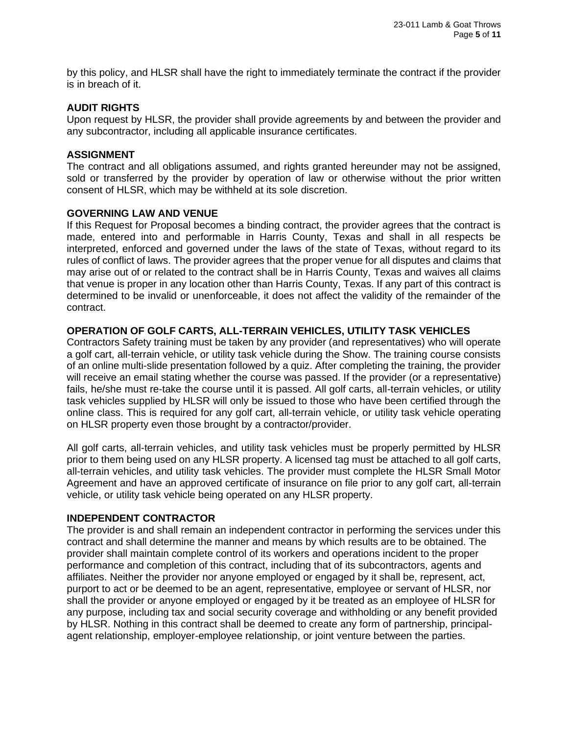by this policy, and HLSR shall have the right to immediately terminate the contract if the provider is in breach of it.

#### **AUDIT RIGHTS**

Upon request by HLSR, the provider shall provide agreements by and between the provider and any subcontractor, including all applicable insurance certificates.

#### **ASSIGNMENT**

The contract and all obligations assumed, and rights granted hereunder may not be assigned, sold or transferred by the provider by operation of law or otherwise without the prior written consent of HLSR, which may be withheld at its sole discretion.

#### **GOVERNING LAW AND VENUE**

If this Request for Proposal becomes a binding contract, the provider agrees that the contract is made, entered into and performable in Harris County, Texas and shall in all respects be interpreted, enforced and governed under the laws of the state of Texas, without regard to its rules of conflict of laws. The provider agrees that the proper venue for all disputes and claims that may arise out of or related to the contract shall be in Harris County, Texas and waives all claims that venue is proper in any location other than Harris County, Texas. If any part of this contract is determined to be invalid or unenforceable, it does not affect the validity of the remainder of the contract.

## **OPERATION OF GOLF CARTS, ALL-TERRAIN VEHICLES, UTILITY TASK VEHICLES**

Contractors Safety training must be taken by any provider (and representatives) who will operate a golf cart, all-terrain vehicle, or utility task vehicle during the Show. The training course consists of an online multi-slide presentation followed by a quiz. After completing the training, the provider will receive an email stating whether the course was passed. If the provider (or a representative) fails, he/she must re-take the course until it is passed. All golf carts, all-terrain vehicles, or utility task vehicles supplied by HLSR will only be issued to those who have been certified through the online class. This is required for any golf cart, all-terrain vehicle, or utility task vehicle operating on HLSR property even those brought by a contractor/provider.

All golf carts, all-terrain vehicles, and utility task vehicles must be properly permitted by HLSR prior to them being used on any HLSR property. A licensed tag must be attached to all golf carts, all-terrain vehicles, and utility task vehicles. The provider must complete the HLSR Small Motor Agreement and have an approved certificate of insurance on file prior to any golf cart, all-terrain vehicle, or utility task vehicle being operated on any HLSR property.

#### **INDEPENDENT CONTRACTOR**

The provider is and shall remain an independent contractor in performing the services under this contract and shall determine the manner and means by which results are to be obtained. The provider shall maintain complete control of its workers and operations incident to the proper performance and completion of this contract, including that of its subcontractors, agents and affiliates. Neither the provider nor anyone employed or engaged by it shall be, represent, act, purport to act or be deemed to be an agent, representative, employee or servant of HLSR, nor shall the provider or anyone employed or engaged by it be treated as an employee of HLSR for any purpose, including tax and social security coverage and withholding or any benefit provided by HLSR. Nothing in this contract shall be deemed to create any form of partnership, principalagent relationship, employer-employee relationship, or joint venture between the parties.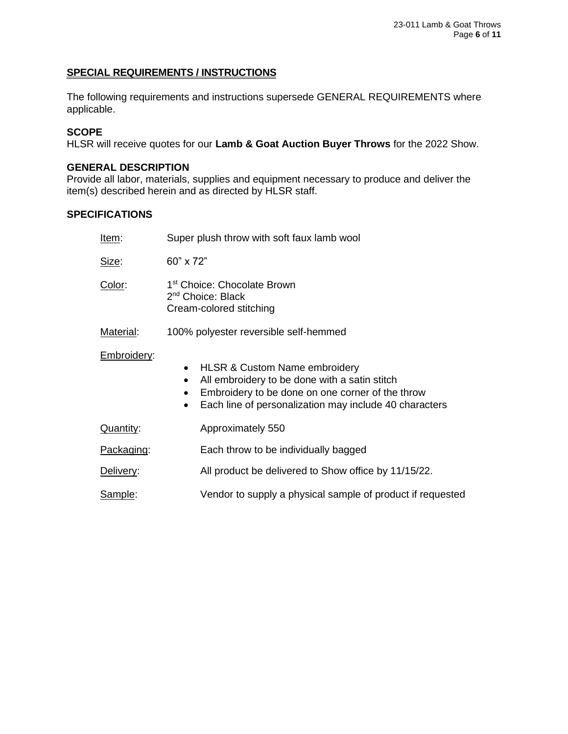### **SPECIAL REQUIREMENTS / INSTRUCTIONS**

The following requirements and instructions supersede GENERAL REQUIREMENTS where applicable.

### **SCOPE**

HLSR will receive quotes for our **Lamb & Goat Auction Buyer Throws** for the 2022 Show.

### **GENERAL DESCRIPTION**

Provide all labor, materials, supplies and equipment necessary to produce and deliver the item(s) described herein and as directed by HLSR staff.

## **SPECIFICATIONS**

| Item:       | Super plush throw with soft faux lamb wool                                                                                                                                                                                                     |  |
|-------------|------------------------------------------------------------------------------------------------------------------------------------------------------------------------------------------------------------------------------------------------|--|
| Size:       | 60" x 72"                                                                                                                                                                                                                                      |  |
| Color:      | 1 <sup>st</sup> Choice: Chocolate Brown<br>2 <sup>nd</sup> Choice: Black<br>Cream-colored stitching                                                                                                                                            |  |
| Material:   | 100% polyester reversible self-hemmed                                                                                                                                                                                                          |  |
| Embroidery: | <b>HLSR &amp; Custom Name embroidery</b><br>$\bullet$<br>All embroidery to be done with a satin stitch<br>$\bullet$<br>Embroidery to be done on one corner of the throw<br>Each line of personalization may include 40 characters<br>$\bullet$ |  |
| Quantity:   | Approximately 550                                                                                                                                                                                                                              |  |
| Packaging:  | Each throw to be individually bagged                                                                                                                                                                                                           |  |
| Delivery:   | All product be delivered to Show office by 11/15/22.                                                                                                                                                                                           |  |
| Sample:     | Vendor to supply a physical sample of product if requested                                                                                                                                                                                     |  |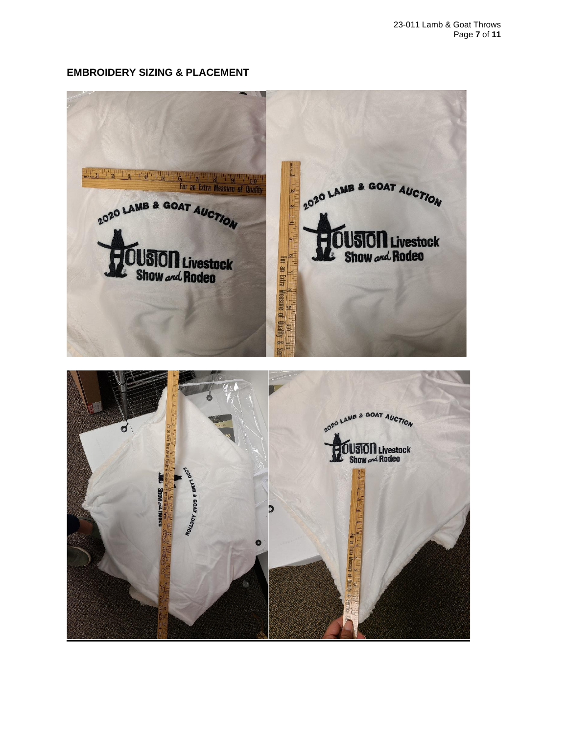## **EMBROIDERY SIZING & PLACEMENT**

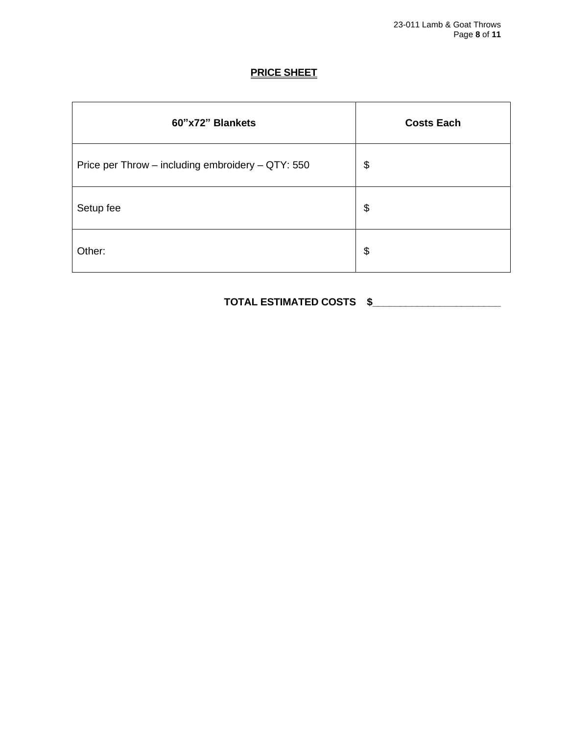## **PRICE SHEET**

| 60"x72" Blankets                                  | <b>Costs Each</b>     |
|---------------------------------------------------|-----------------------|
| Price per Throw - including embroidery - QTY: 550 | $\boldsymbol{\theta}$ |
| Setup fee                                         | $\boldsymbol{\theta}$ |
| Other:                                            | $\boldsymbol{\theta}$ |

## **TOTAL ESTIMATED COSTS \$\_\_\_\_\_\_\_\_\_\_\_\_\_\_\_\_\_\_\_\_\_\_\_**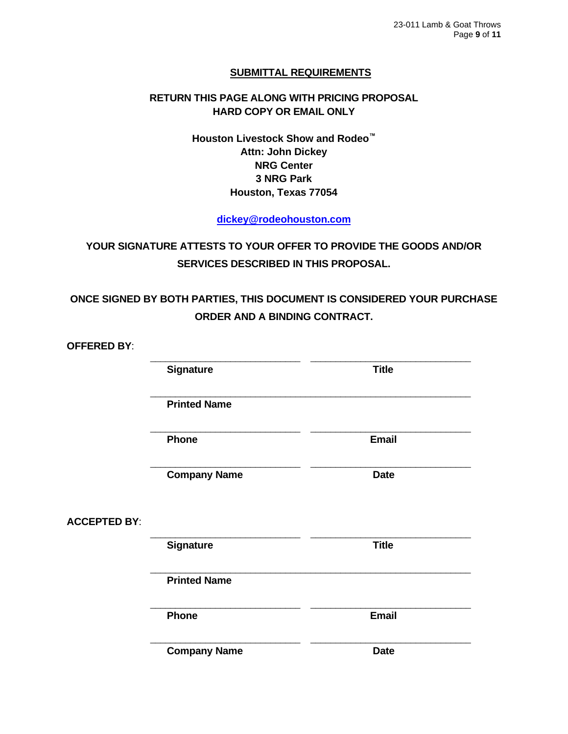## **SUBMITTAL REQUIREMENTS**

## **RETURN THIS PAGE ALONG WITH PRICING PROPOSAL HARD COPY OR EMAIL ONLY**

**Houston Livestock Show and Rodeo™ Attn: John Dickey NRG Center 3 NRG Park Houston, Texas 77054**

**[dickey@rodeohouston.com](mailto:dickey@rodeohouston.com)**

## **YOUR SIGNATURE ATTESTS TO YOUR OFFER TO PROVIDE THE GOODS AND/OR SERVICES DESCRIBED IN THIS PROPOSAL.**

## **ONCE SIGNED BY BOTH PARTIES, THIS DOCUMENT IS CONSIDERED YOUR PURCHASE ORDER AND A BINDING CONTRACT.**

**OFFERED BY**:

|                     | <b>Signature</b>    | <b>Title</b> |
|---------------------|---------------------|--------------|
|                     | <b>Printed Name</b> |              |
|                     | <b>Phone</b>        | <b>Email</b> |
|                     | <b>Company Name</b> | <b>Date</b>  |
| <b>ACCEPTED BY:</b> |                     |              |
|                     | Signature           | <b>Title</b> |
|                     | <b>Printed Name</b> |              |
|                     | Phone               | <b>Email</b> |
|                     | <b>Company Name</b> | <b>Date</b>  |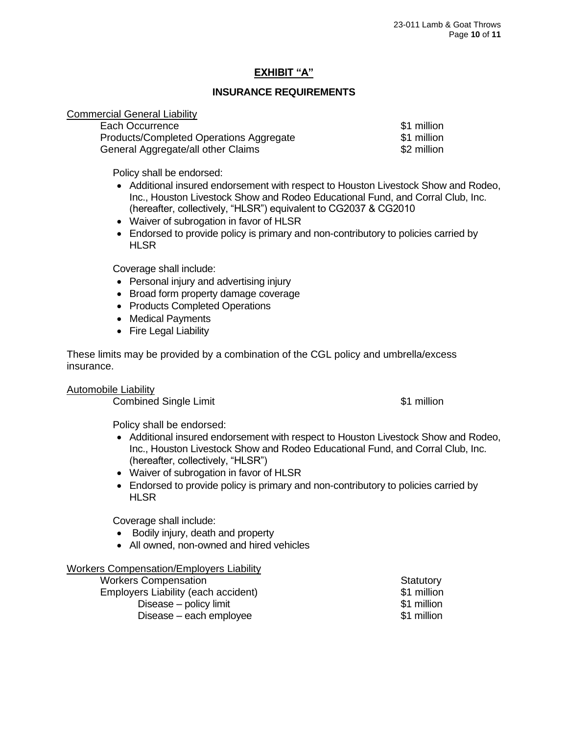## **EXHIBIT "A"**

#### **INSURANCE REQUIREMENTS**

#### Commercial General Liability

| Each Occurrence                         | \$1 million |
|-----------------------------------------|-------------|
| Products/Completed Operations Aggregate | \$1 million |
| General Aggregate/all other Claims      | \$2 million |

Policy shall be endorsed:

- Additional insured endorsement with respect to Houston Livestock Show and Rodeo, Inc., Houston Livestock Show and Rodeo Educational Fund, and Corral Club, Inc. (hereafter, collectively, "HLSR") equivalent to CG2037 & CG2010
- Waiver of subrogation in favor of HLSR
- Endorsed to provide policy is primary and non-contributory to policies carried by **HLSR**

Coverage shall include:

- Personal injury and advertising injury
- Broad form property damage coverage
- Products Completed Operations
- Medical Payments
- Fire Legal Liability

These limits may be provided by a combination of the CGL policy and umbrella/excess insurance.

Automobile Liability

**Combined Single Limit 1988 Combined Single Limit 31 million** 

Policy shall be endorsed:

- Additional insured endorsement with respect to Houston Livestock Show and Rodeo, Inc., Houston Livestock Show and Rodeo Educational Fund, and Corral Club, Inc. (hereafter, collectively, "HLSR")
- Waiver of subrogation in favor of HLSR
- Endorsed to provide policy is primary and non-contributory to policies carried by **HLSR**

Coverage shall include:

- Bodily injury, death and property
- All owned, non-owned and hired vehicles

#### Workers Compensation/Employers Liability

| <b>Workers Compensation</b>         | Statutory   |
|-------------------------------------|-------------|
| Employers Liability (each accident) | \$1 million |
| Disease – policy limit              | \$1 million |
| Disease – each employee             | \$1 million |